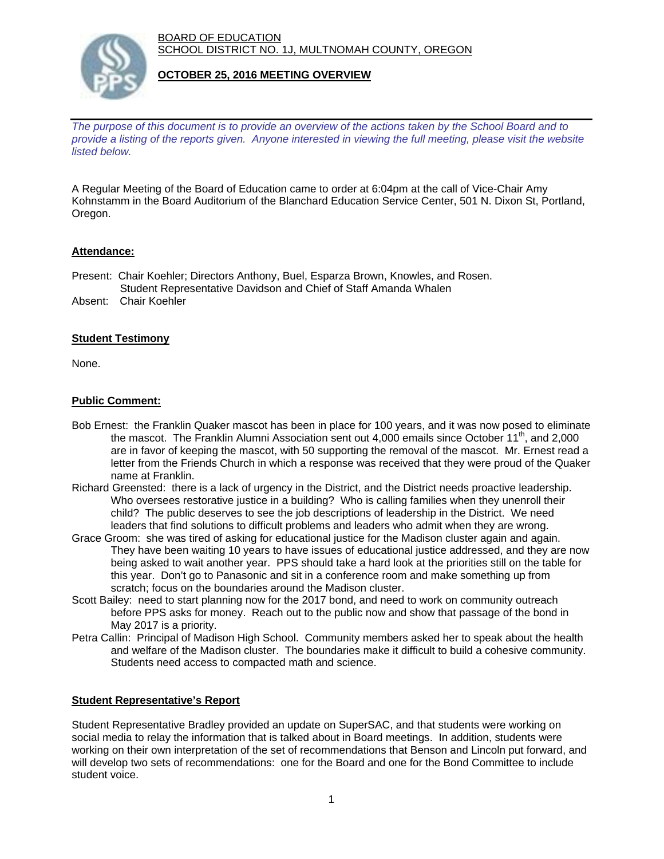BOARD OF EDUCATION SCHOOL DISTRICT NO. 1J, MULTNOMAH COUNTY, OREGON



## **OCTOBER 25, 2016 MEETING OVERVIEW**

*The purpose of this document is to provide an overview of the actions taken by the School Board and to provide a listing of the reports given. Anyone interested in viewing the full meeting, please visit the website listed below.*

A Regular Meeting of the Board of Education came to order at 6:04pm at the call of Vice-Chair Amy Kohnstamm in the Board Auditorium of the Blanchard Education Service Center, 501 N. Dixon St, Portland, Oregon.

## **Attendance:**

- Present: Chair Koehler; Directors Anthony, Buel, Esparza Brown, Knowles, and Rosen. Student Representative Davidson and Chief of Staff Amanda Whalen
- Absent: Chair Koehler

## **Student Testimony**

None.

## **Public Comment:**

- Bob Ernest: the Franklin Quaker mascot has been in place for 100 years, and it was now posed to eliminate the mascot. The Franklin Alumni Association sent out 4,000 emails since October 11<sup>th</sup>, and 2,000 are in favor of keeping the mascot, with 50 supporting the removal of the mascot. Mr. Ernest read a letter from the Friends Church in which a response was received that they were proud of the Quaker name at Franklin.
- Richard Greensted: there is a lack of urgency in the District, and the District needs proactive leadership. Who oversees restorative justice in a building? Who is calling families when they unenroll their child? The public deserves to see the job descriptions of leadership in the District. We need leaders that find solutions to difficult problems and leaders who admit when they are wrong.
- Grace Groom: she was tired of asking for educational justice for the Madison cluster again and again. They have been waiting 10 years to have issues of educational justice addressed, and they are now being asked to wait another year. PPS should take a hard look at the priorities still on the table for this year. Don't go to Panasonic and sit in a conference room and make something up from scratch; focus on the boundaries around the Madison cluster.
- Scott Bailey: need to start planning now for the 2017 bond, and need to work on community outreach before PPS asks for money. Reach out to the public now and show that passage of the bond in May 2017 is a priority.
- Petra Callin: Principal of Madison High School. Community members asked her to speak about the health and welfare of the Madison cluster. The boundaries make it difficult to build a cohesive community. Students need access to compacted math and science.

# **Student Representative's Report**

Student Representative Bradley provided an update on SuperSAC, and that students were working on social media to relay the information that is talked about in Board meetings. In addition, students were working on their own interpretation of the set of recommendations that Benson and Lincoln put forward, and will develop two sets of recommendations: one for the Board and one for the Bond Committee to include student voice.